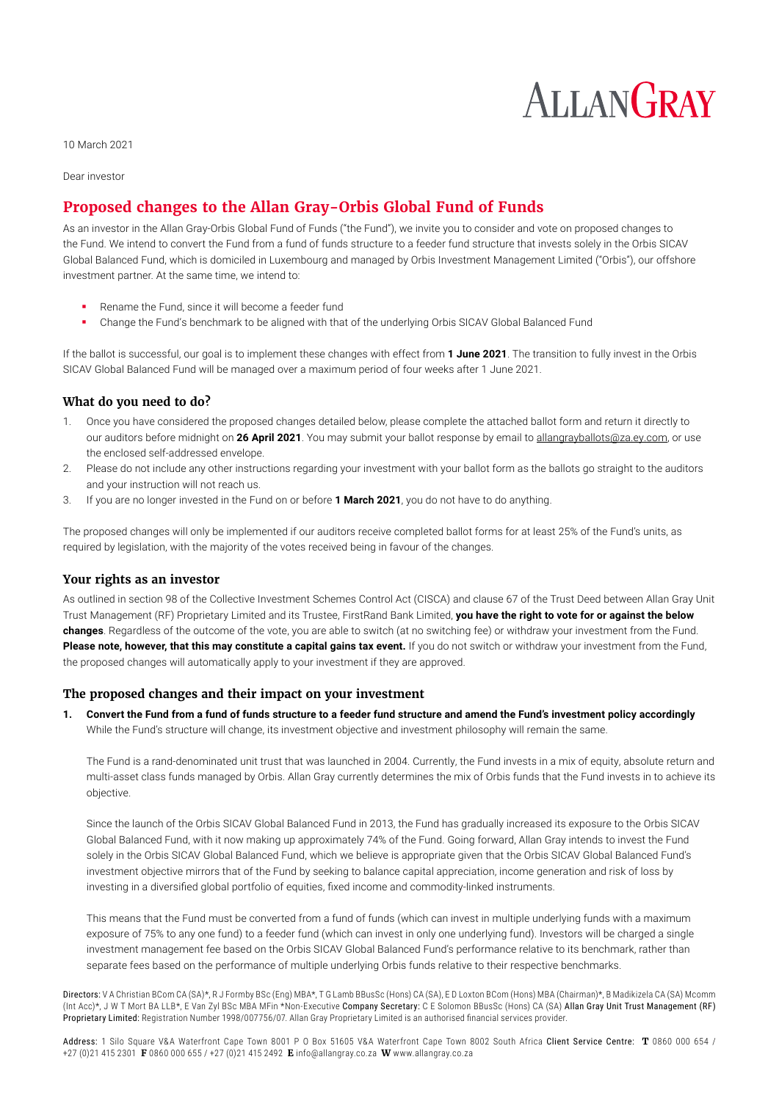# **ALLANGRAY**

10 March 2021

Dear investor

## **Proposed changes to the Allan Gray-Orbis Global Fund of Funds**

As an investor in the Allan Gray-Orbis Global Fund of Funds ("the Fund"), we invite you to consider and vote on proposed changes to the Fund. We intend to convert the Fund from a fund of funds structure to a feeder fund structure that invests solely in the Orbis SICAV Global Balanced Fund, which is domiciled in Luxembourg and managed by Orbis Investment Management Limited ("Orbis"), our offshore investment partner. At the same time, we intend to:

- Rename the Fund, since it will become a feeder fund
- Change the Fund's benchmark to be aligned with that of the underlying Orbis SICAV Global Balanced Fund

If the ballot is successful, our goal is to implement these changes with effect from **1 June 2021**. The transition to fully invest in the Orbis SICAV Global Balanced Fund will be managed over a maximum period of four weeks after 1 June 2021.

### **What do you need to do?**

- 1. Once you have considered the proposed changes detailed below, please complete the attached ballot form and return it directly to our auditors before midnight on **26 April 2021**. You may submit your ballot response by email to allangrayballots@za.ey.com, or use the enclosed self-addressed envelope.
- 2. Please do not include any other instructions regarding your investment with your ballot form as the ballots go straight to the auditors and your instruction will not reach us.
- 3. If you are no longer invested in the Fund on or before **1 March 2021**, you do not have to do anything.

The proposed changes will only be implemented if our auditors receive completed ballot forms for at least 25% of the Fund's units, as required by legislation, with the majority of the votes received being in favour of the changes.

#### **Your rights as an investor**

As outlined in section 98 of the Collective Investment Schemes Control Act (CISCA) and clause 67 of the Trust Deed between Allan Gray Unit Trust Management (RF) Proprietary Limited and its Trustee, FirstRand Bank Limited, **you have the right to vote for or against the below changes**. Regardless of the outcome of the vote, you are able to switch (at no switching fee) or withdraw your investment from the Fund. **Please note, however, that this may constitute a capital gains tax event.** If you do not switch or withdraw your investment from the Fund. the proposed changes will automatically apply to your investment if they are approved.

### **The proposed changes and their impact on your investment**

**1. Convert the Fund from a fund of funds structure to a feeder fund structure and amend the Fund's investment policy accordingly** While the Fund's structure will change, its investment objective and investment philosophy will remain the same.

The Fund is a rand-denominated unit trust that was launched in 2004. Currently, the Fund invests in a mix of equity, absolute return and multi-asset class funds managed by Orbis. Allan Gray currently determines the mix of Orbis funds that the Fund invests in to achieve its objective.

Since the launch of the Orbis SICAV Global Balanced Fund in 2013, the Fund has gradually increased its exposure to the Orbis SICAV Global Balanced Fund, with it now making up approximately 74% of the Fund. Going forward, Allan Gray intends to invest the Fund solely in the Orbis SICAV Global Balanced Fund, which we believe is appropriate given that the Orbis SICAV Global Balanced Fund's investment objective mirrors that of the Fund by seeking to balance capital appreciation, income generation and risk of loss by investing in a diversified global portfolio of equities, fixed income and commodity-linked instruments.

This means that the Fund must be converted from a fund of funds (which can invest in multiple underlying funds with a maximum exposure of 75% to any one fund) to a feeder fund (which can invest in only one underlying fund). Investors will be charged a single investment management fee based on the Orbis SICAV Global Balanced Fund's performance relative to its benchmark, rather than separate fees based on the performance of multiple underlying Orbis funds relative to their respective benchmarks.

Directors: V A Christian BCom CA (SA)\*, R J Formby BSc (Eng) MBA\*, T G Lamb BBusSc (Hons) CA (SA), E D Loxton BCom (Hons) MBA (Chairman)\*, B Madikizela CA (SA) Mcomm (Int Acc)\*, J W T Mort BA LLB\*, E Van Zyl BSc MBA MFin \*Non-Executive Company Secretary: C E Solomon BBusSc (Hons) CA (SA) Allan Gray Unit Trust Management (RF) Proprietary Limited: Registration Number 1998/007756/07. Allan Gray Proprietary Limited is an authorised financial services provider.

Address: 1 Silo Square V&A Waterfront Cape Town 8001 P O Box 51605 V&A Waterfront Cape Town 8002 South Africa Client Service Centre: **T** 0860 000 654 / +27 (0)21 415 2301 **F** 0860 000 655 / +27 (0)21 415 2492 **E** info@allangray.co.za **W** www.allangray.co.za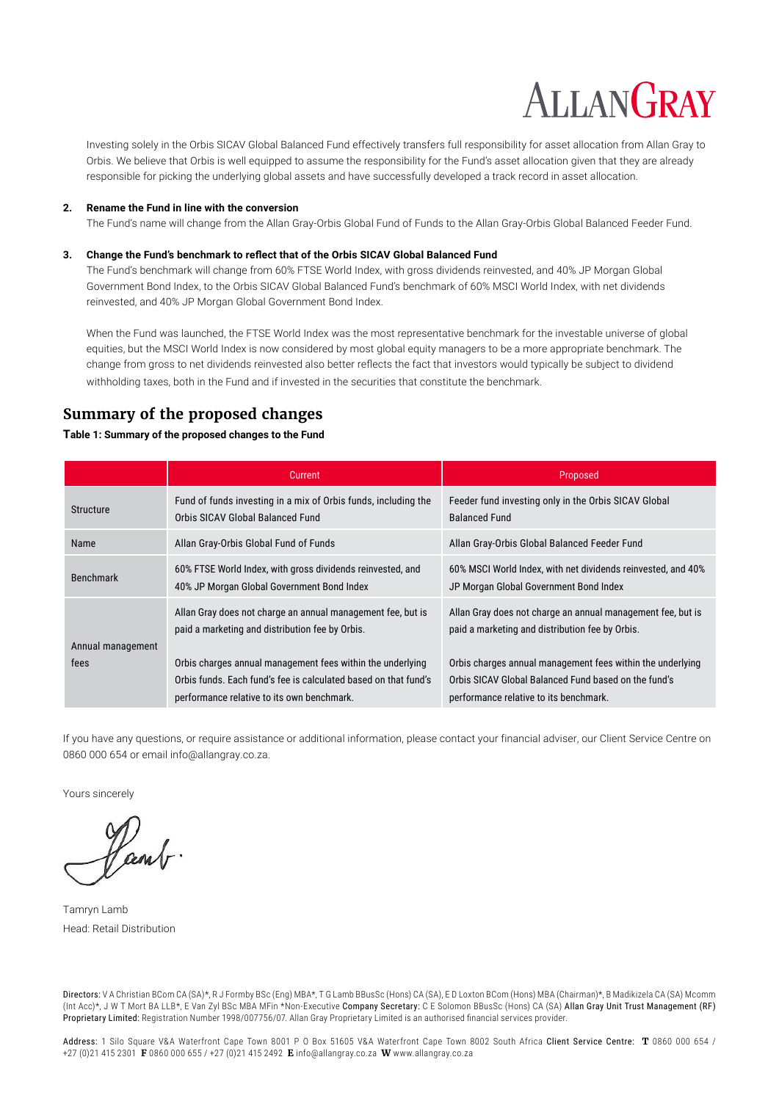# **ALLANGRAY**

Investing solely in the Orbis SICAV Global Balanced Fund effectively transfers full responsibility for asset allocation from Allan Gray to Orbis. We believe that Orbis is well equipped to assume the responsibility for the Fund's asset allocation given that they are already responsible for picking the underlying global assets and have successfully developed a track record in asset allocation.

#### **2. Rename the Fund in line with the conversion**

The Fund's name will change from the Allan Gray-Orbis Global Fund of Funds to the Allan Gray-Orbis Global Balanced Feeder Fund.

#### **3. Change the Fund's benchmark to reflect that of the Orbis SICAV Global Balanced Fund**

The Fund's benchmark will change from 60% FTSE World Index, with gross dividends reinvested, and 40% JP Morgan Global Government Bond Index, to the Orbis SICAV Global Balanced Fund's benchmark of 60% MSCI World Index, with net dividends reinvested, and 40% JP Morgan Global Government Bond Index.

When the Fund was launched, the FTSE World Index was the most representative benchmark for the investable universe of global equities, but the MSCI World Index is now considered by most global equity managers to be a more appropriate benchmark. The change from gross to net dividends reinvested also better reflects the fact that investors would typically be subject to dividend withholding taxes, both in the Fund and if invested in the securities that constitute the benchmark.

## **Summary of the proposed changes**

### **Table 1: Summary of the proposed changes to the Fund**

|                           | Current                                                                                                                                                                      | Proposed                                                                                                                                                                     |
|---------------------------|------------------------------------------------------------------------------------------------------------------------------------------------------------------------------|------------------------------------------------------------------------------------------------------------------------------------------------------------------------------|
| <b>Structure</b>          | Fund of funds investing in a mix of Orbis funds, including the<br>Orbis SICAV Global Balanced Fund                                                                           | Feeder fund investing only in the Orbis SICAV Global<br><b>Balanced Fund</b>                                                                                                 |
| Name                      | Allan Gray-Orbis Global Fund of Funds                                                                                                                                        | Allan Gray-Orbis Global Balanced Feeder Fund                                                                                                                                 |
| <b>Benchmark</b>          | 60% FTSE World Index, with gross dividends reinvested, and<br>40% JP Morgan Global Government Bond Index                                                                     | 60% MSCI World Index, with net dividends reinvested, and 40%<br>JP Morgan Global Government Bond Index                                                                       |
| Annual management<br>fees | Allan Gray does not charge an annual management fee, but is<br>paid a marketing and distribution fee by Orbis.<br>Orbis charges annual management fees within the underlying | Allan Gray does not charge an annual management fee, but is<br>paid a marketing and distribution fee by Orbis.<br>Orbis charges annual management fees within the underlying |
|                           | Orbis funds. Each fund's fee is calculated based on that fund's<br>performance relative to its own benchmark.                                                                | Orbis SICAV Global Balanced Fund based on the fund's<br>performance relative to its benchmark.                                                                               |

If you have any questions, or require assistance or additional information, please contact your financial adviser, our Client Service Centre on 0860 000 654 or email info@allangray.co.za.

Yours sincerely

Vænt

Tamryn Lamb Head: Retail Distribution

Directors: V A Christian BCom CA (SA)\*, R J Formby BSc (Eng) MBA\*, T G Lamb BBusSc (Hons) CA (SA), E D Loxton BCom (Hons) MBA (Chairman)\*, B Madikizela CA (SA) Mcomm (Int Acc)\*, J W T Mort BA LLB\*, E Van Zyl BSc MBA MFin \*Non-Executive Company Secretary: C E Solomon BBusSc (Hons) CA (SA) Allan Gray Unit Trust Management (RF) Proprietary Limited: Registration Number 1998/007756/07. Allan Gray Proprietary Limited is an authorised financial services provider.

Address: 1 Silo Square V&A Waterfront Cape Town 8001 P O Box 51605 V&A Waterfront Cape Town 8002 South Africa Client Service Centre: **T** 0860 000 654 / +27 (0)21 415 2301 **F** 0860 000 655 / +27 (0)21 415 2492 **E** info@allangray.co.za **W** www.allangray.co.za